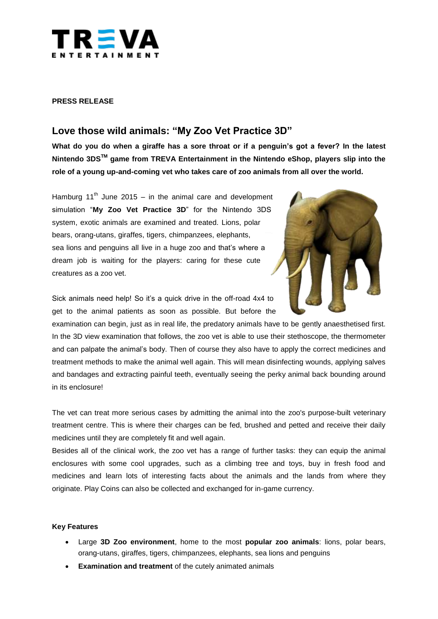

### **PRESS RELEASE**

# **Love those wild animals: "My Zoo Vet Practice 3D"**

**What do you do when a giraffe has a sore throat or if a penguin's got a fever? In the latest Nintendo 3DSTM game from TREVA Entertainment in the Nintendo eShop, players slip into the role of a young up-and-coming vet who takes care of zoo animals from all over the world.**

Hamburg  $11<sup>th</sup>$  June 2015 – in the animal care and development simulation "**My Zoo Vet Practice 3D**" for the Nintendo 3DS system, exotic animals are examined and treated. Lions, polar bears, orang-utans, giraffes, tigers, chimpanzees, elephants, sea lions and penguins all live in a huge zoo and that's where a dream job is waiting for the players: caring for these cute creatures as a zoo vet.



Sick animals need help! So it's a quick drive in the off-road 4x4 to get to the animal patients as soon as possible. But before the

examination can begin, just as in real life, the predatory animals have to be gently anaesthetised first. In the 3D view examination that follows, the zoo vet is able to use their stethoscope, the thermometer and can palpate the animal's body. Then of course they also have to apply the correct medicines and treatment methods to make the animal well again. This will mean disinfecting wounds, applying salves and bandages and extracting painful teeth, eventually seeing the perky animal back bounding around in its enclosure!

The vet can treat more serious cases by admitting the animal into the zoo's purpose-built veterinary treatment centre. This is where their charges can be fed, brushed and petted and receive their daily medicines until they are completely fit and well again.

Besides all of the clinical work, the zoo vet has a range of further tasks: they can equip the animal enclosures with some cool upgrades, such as a climbing tree and toys, buy in fresh food and medicines and learn lots of interesting facts about the animals and the lands from where they originate. Play Coins can also be collected and exchanged for in-game currency.

#### **Key Features**

- Large **3D Zoo environment**, home to the most **popular zoo animals**: lions, polar bears, orang-utans, giraffes, tigers, chimpanzees, elephants, sea lions and penguins
- **Examination and treatment** of the cutely animated animals